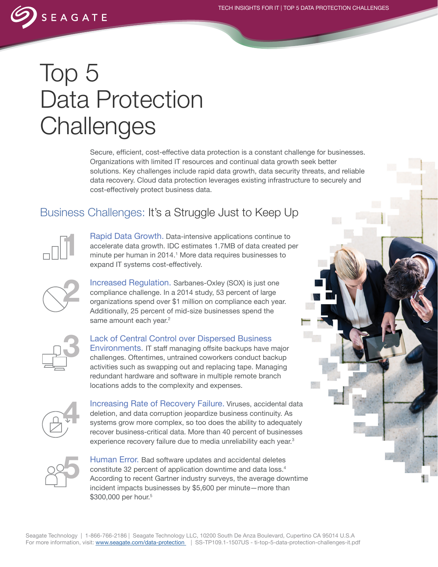## Top 5 Data Protection **Challenges**

SEAGATE

Secure, efficient, cost-effective data protection is a constant challenge for businesses. Organizations with limited IT resources and continual data growth seek better solutions. Key challenges include rapid data growth, data security threats, and reliable data recovery. Cloud data protection leverages existing infrastructure to securely and cost-effectively protect business data.

## Business Challenges: It's a Struggle Just to Keep Up



Rapid Data Growth. Data-intensive applications continue to accelerate data growth. IDC estimates 1.7MB of data created per minute per human in 2014.<sup>1</sup> More data requires businesses to expand IT systems cost-effectively.



Increased Regulation. Sarbanes-Oxley (SOX) is just one compliance challenge. In a 2014 study, 53 percent of large organizations spend over \$1 million on compliance each year. Additionally, 25 percent of mid-size businesses spend the same amount each year.<sup>2</sup>



Lack of Central Control over Dispersed Business Environments. IT staff managing offsite backups have major challenges. Oftentimes, untrained coworkers conduct backup activities such as swapping out and replacing tape. Managing redundant hardware and software in multiple remote branch locations adds to the complexity and expenses.



Increasing Rate of Recovery Failure. Viruses, accidental data deletion, and data corruption jeopardize business continuity. As systems grow more complex, so too does the ability to adequately recover business-critical data. More than 40 percent of businesses experience recovery failure due to media unreliability each year.<sup>3</sup>



Human Error. Bad software updates and accidental deletes constitute 32 percent of application downtime and data loss.4 According to recent Gartner industry surveys, the average downtime incident impacts businesses by \$5,600 per minute—more than \$300,000 per hour.<sup>5</sup>